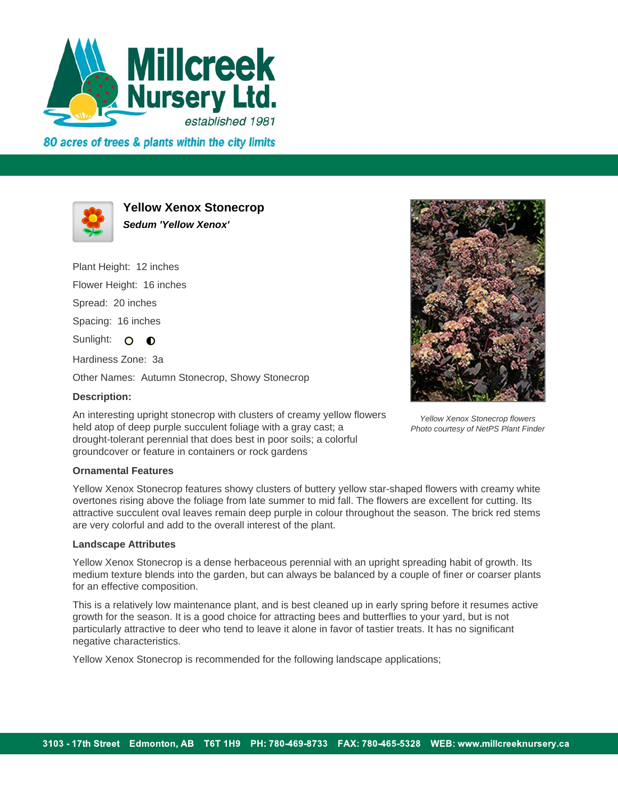

80 acres of trees & plants within the city limits



**Yellow Xenox Stonecrop Sedum 'Yellow Xenox'**

Plant Height: 12 inches Flower Height: 16 inches Spread: 20 inches Spacing: 16 inches Sunlight: 0 0 Hardiness Zone: 3a Other Names: Autumn Stonecrop, Showy Stonecrop

## **Description:**

An interesting upright stonecrop with clusters of creamy yellow flowers held atop of deep purple succulent foliage with a gray cast; a drought-tolerant perennial that does best in poor soils; a colorful groundcover or feature in containers or rock gardens

Yellow Xenox Stonecrop flowers Photo courtesy of NetPS Plant Finder

## **Ornamental Features**

Yellow Xenox Stonecrop features showy clusters of buttery yellow star-shaped flowers with creamy white overtones rising above the foliage from late summer to mid fall. The flowers are excellent for cutting. Its attractive succulent oval leaves remain deep purple in colour throughout the season. The brick red stems are very colorful and add to the overall interest of the plant.

## **Landscape Attributes**

Yellow Xenox Stonecrop is a dense herbaceous perennial with an upright spreading habit of growth. Its medium texture blends into the garden, but can always be balanced by a couple of finer or coarser plants for an effective composition.

This is a relatively low maintenance plant, and is best cleaned up in early spring before it resumes active growth for the season. It is a good choice for attracting bees and butterflies to your yard, but is not particularly attractive to deer who tend to leave it alone in favor of tastier treats. It has no significant negative characteristics.

Yellow Xenox Stonecrop is recommended for the following landscape applications;